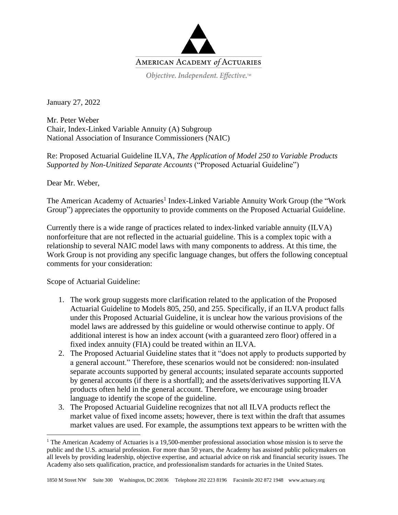

January 27, 2022

Mr. Peter Weber Chair, Index-Linked Variable Annuity (A) Subgroup National Association of Insurance Commissioners (NAIC)

Re: Proposed Actuarial Guideline ILVA, *The Application of Model 250 to Variable Products Supported by Non-Unitized Separate Accounts* ("Proposed Actuarial Guideline")

Dear Mr. Weber,

The American Academy of Actuaries<sup>1</sup> Index-Linked Variable Annuity Work Group (the "Work Group") appreciates the opportunity to provide comments on the Proposed Actuarial Guideline.

Currently there is a wide range of practices related to index-linked variable annuity (ILVA) nonforfeiture that are not reflected in the actuarial guideline. This is a complex topic with a relationship to several NAIC model laws with many components to address. At this time, the Work Group is not providing any specific language changes, but offers the following conceptual comments for your consideration:

Scope of Actuarial Guideline:

- 1. The work group suggests more clarification related to the application of the Proposed Actuarial Guideline to Models 805, 250, and 255. Specifically, if an ILVA product falls under this Proposed Actuarial Guideline, it is unclear how the various provisions of the model laws are addressed by this guideline or would otherwise continue to apply. Of additional interest is how an index account (with a guaranteed zero floor) offered in a fixed index annuity (FIA) could be treated within an ILVA.
- 2. The Proposed Actuarial Guideline states that it "does not apply to products supported by a general account." Therefore, these scenarios would not be considered: non-insulated separate accounts supported by general accounts; insulated separate accounts supported by general accounts (if there is a shortfall); and the assets/derivatives supporting ILVA products often held in the general account. Therefore, we encourage using broader language to identify the scope of the guideline.
- 3. The Proposed Actuarial Guideline recognizes that not all ILVA products reflect the market value of fixed income assets; however, there is text within the draft that assumes market values are used. For example, the assumptions text appears to be written with the

<sup>&</sup>lt;sup>1</sup> The American Academy of Actuaries is a 19,500-member professional association whose mission is to serve the public and the U.S. actuarial profession. For more than 50 years, the Academy has assisted public policymakers on all levels by providing leadership, objective expertise, and actuarial advice on risk and financial security issues. The Academy also sets qualification, practice, and professionalism standards for actuaries in the United States.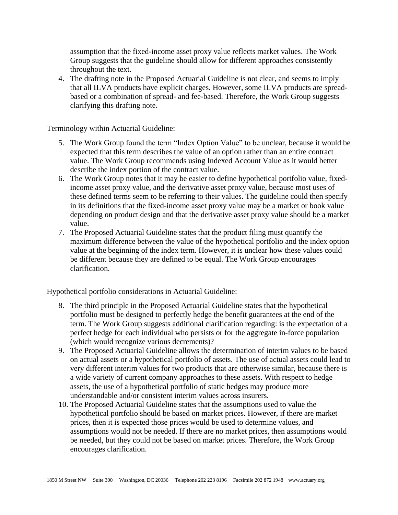assumption that the fixed-income asset proxy value reflects market values. The Work Group suggests that the guideline should allow for different approaches consistently throughout the text.

4. The drafting note in the Proposed Actuarial Guideline is not clear, and seems to imply that all ILVA products have explicit charges. However, some ILVA products are spreadbased or a combination of spread- and fee-based. Therefore, the Work Group suggests clarifying this drafting note.

Terminology within Actuarial Guideline:

- 5. The Work Group found the term "Index Option Value" to be unclear, because it would be expected that this term describes the value of an option rather than an entire contract value. The Work Group recommends using Indexed Account Value as it would better describe the index portion of the contract value.
- 6. The Work Group notes that it may be easier to define hypothetical portfolio value, fixedincome asset proxy value, and the derivative asset proxy value, because most uses of these defined terms seem to be referring to their values. The guideline could then specify in its definitions that the fixed-income asset proxy value may be a market or book value depending on product design and that the derivative asset proxy value should be a market value.
- 7. The Proposed Actuarial Guideline states that the product filing must quantify the maximum difference between the value of the hypothetical portfolio and the index option value at the beginning of the index term. However, it is unclear how these values could be different because they are defined to be equal. The Work Group encourages clarification.

Hypothetical portfolio considerations in Actuarial Guideline:

- 8. The third principle in the Proposed Actuarial Guideline states that the hypothetical portfolio must be designed to perfectly hedge the benefit guarantees at the end of the term. The Work Group suggests additional clarification regarding: is the expectation of a perfect hedge for each individual who persists or for the aggregate in-force population (which would recognize various decrements)?
- 9. The Proposed Actuarial Guideline allows the determination of interim values to be based on actual assets or a hypothetical portfolio of assets. The use of actual assets could lead to very different interim values for two products that are otherwise similar, because there is a wide variety of current company approaches to these assets. With respect to hedge assets, the use of a hypothetical portfolio of static hedges may produce more understandable and/or consistent interim values across insurers.
- 10. The Proposed Actuarial Guideline states that the assumptions used to value the hypothetical portfolio should be based on market prices. However, if there are market prices, then it is expected those prices would be used to determine values, and assumptions would not be needed. If there are no market prices, then assumptions would be needed, but they could not be based on market prices. Therefore, the Work Group encourages clarification.